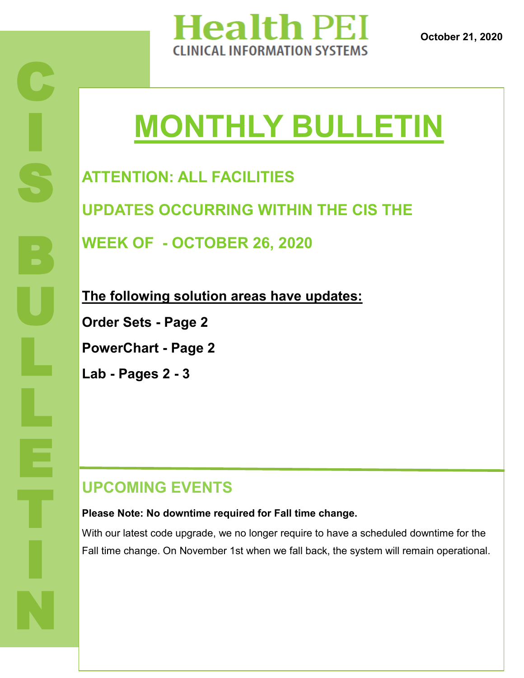

**October 21, 2020**

# **MONTHLY BULLETIN**

**ATTENTION: ALL FACILITIES UPDATES OCCURRING WITHIN THE CIS THE** 

**WEEK OF - OCTOBER 26, 2020**

**The following solution areas have updates:**

**Order Sets - Page 2**

**PowerChart - Page 2**

**Lab - Pages 2 - 3**

### **UPCOMING EVENTS**

#### **Please Note: No downtime required for Fall time change.**

With our latest code upgrade, we no longer require to have a scheduled downtime for the Fall time change. On November 1st when we fall back, the system will remain operational.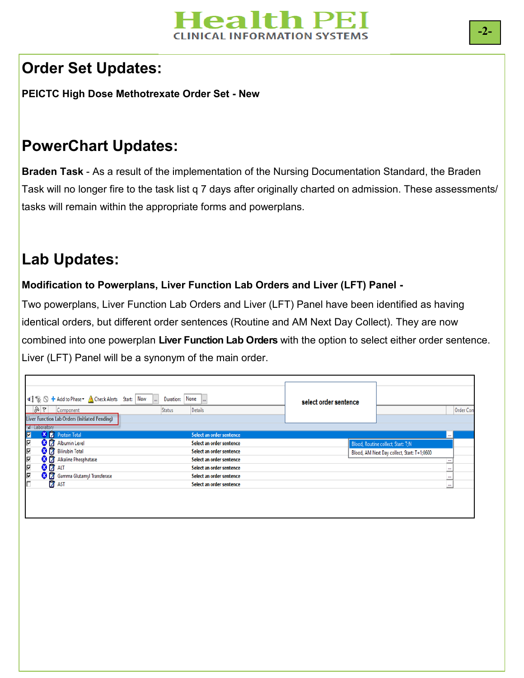## lealth Pl

#### **Order Set Updates:**

**PEICTC High Dose Methotrexate Order Set - New**

#### **PowerChart Updates:**

**Braden Task** - As a result of the implementation of the Nursing Documentation Standard, the Braden Task will no longer fire to the task list q 7 days after originally charted on admission. These assessments/ tasks will remain within the appropriate forms and powerplans.

### **Lab Updates:**

#### **Modification to Powerplans, Liver Function Lab Orders and Liver (LFT) Panel -**

Two powerplans, Liver Function Lab Orders and Liver (LFT) Panel have been identified as having identical orders, but different order sentences (Routine and AM Next Day Collect). They are now combined into one powerplan **Liver Function Lab Orders** with the option to select either order sentence. Liver (LFT) Panel will be a synonym of the main order.

| 4 % 4 Add to Phase > A Check Alerts Start: Now<br>$\sqrt{8}$ $\sqrt{9}$ Component<br><b>Liver Function Lab Orders (Initiated Pending)</b> | None<br>Duration:<br>ll<br><b>Sec</b><br><b>Details</b><br><b>Status</b> | select order sentence                       | Order Con  |
|-------------------------------------------------------------------------------------------------------------------------------------------|--------------------------------------------------------------------------|---------------------------------------------|------------|
| <b>4</b> Laboratory                                                                                                                       |                                                                          |                                             |            |
| $\blacksquare$<br><b>X</b> Protein Total                                                                                                  | Select an order sentence                                                 |                                             | <b>COL</b> |
| $\overline{\triangledown}$<br><b>8</b> 7 Albumin Level                                                                                    | Select an order sentence                                                 | Blood, Routine collect, Start: T;N          |            |
| $\overline{\triangledown}$<br>8 Bilirubin Total                                                                                           | Select an order sentence                                                 | Blood, AM Next Day collect, Start: T+1;0600 |            |
| ⊽<br>Alkaline Phosphatase                                                                                                                 | Select an order sentence                                                 |                                             | ≞          |
| 8 <sup>2</sup> ALT                                                                                                                        | Select an order sentence                                                 |                                             | <br>-      |
| <u> N N</u><br>S Gamma Glutamyl Transferase                                                                                               | Select an order sentence                                                 |                                             | ≞          |
| <b>AST</b>                                                                                                                                | Select an order sentence                                                 |                                             | $\cdots$   |
|                                                                                                                                           |                                                                          |                                             |            |
|                                                                                                                                           |                                                                          |                                             |            |
|                                                                                                                                           |                                                                          |                                             |            |